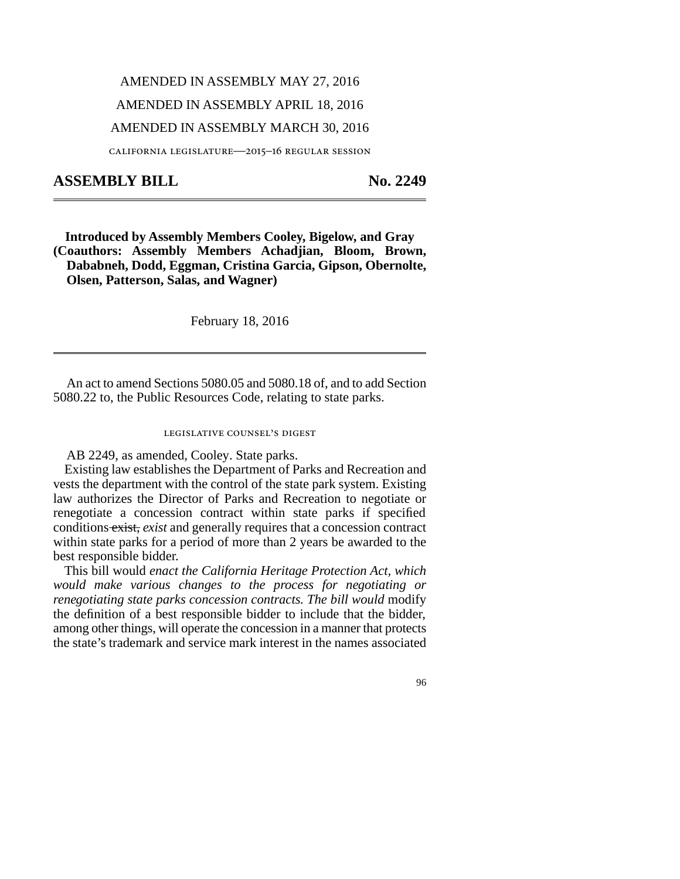## AMENDED IN ASSEMBLY MAY 27, 2016 AMENDED IN ASSEMBLY APRIL 18, 2016 AMENDED IN ASSEMBLY MARCH 30, 2016

california legislature—2015–16 regular session

## ASSEMBLY BILL No. 2249

**Introduced by Assembly Members Cooley, Bigelow, and Gray (Coauthors: Assembly Members Achadjian, Bloom, Brown, Dababneh, Dodd, Eggman, Cristina Garcia, Gipson, Obernolte, Olsen, Patterson, Salas, and Wagner)**

February 18, 2016

An act to amend Sections 5080.05 and 5080.18 of, and to add Section 5080.22 to, the Public Resources Code, relating to state parks.

legislative counsel's digest

AB 2249, as amended, Cooley. State parks.

Existing law establishes the Department of Parks and Recreation and vests the department with the control of the state park system. Existing law authorizes the Director of Parks and Recreation to negotiate or renegotiate a concession contract within state parks if specified conditions exist, *exist* and generally requires that a concession contract within state parks for a period of more than 2 years be awarded to the best responsible bidder.

This bill would *enact the California Heritage Protection Act, which would make various changes to the process for negotiating or renegotiating state parks concession contracts. The bill would* modify the definition of a best responsible bidder to include that the bidder, among other things, will operate the concession in a manner that protects the state's trademark and service mark interest in the names associated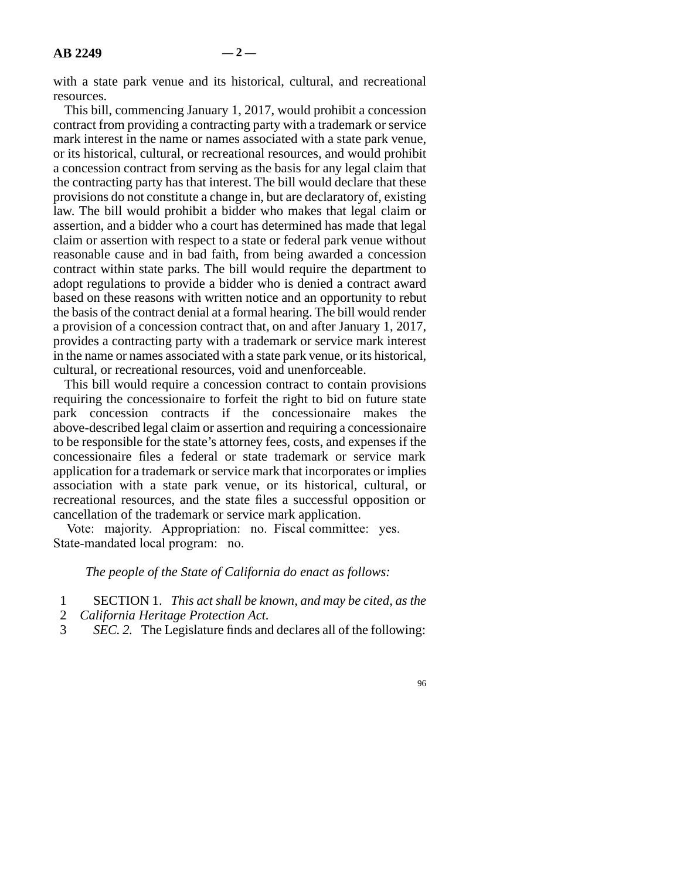with a state park venue and its historical, cultural, and recreational resources.

This bill, commencing January 1, 2017, would prohibit a concession contract from providing a contracting party with a trademark or service mark interest in the name or names associated with a state park venue, or its historical, cultural, or recreational resources, and would prohibit a concession contract from serving as the basis for any legal claim that the contracting party has that interest. The bill would declare that these provisions do not constitute a change in, but are declaratory of, existing law. The bill would prohibit a bidder who makes that legal claim or assertion, and a bidder who a court has determined has made that legal claim or assertion with respect to a state or federal park venue without reasonable cause and in bad faith, from being awarded a concession contract within state parks. The bill would require the department to adopt regulations to provide a bidder who is denied a contract award based on these reasons with written notice and an opportunity to rebut the basis of the contract denial at a formal hearing. The bill would render a provision of a concession contract that, on and after January 1, 2017, provides a contracting party with a trademark or service mark interest in the name or names associated with a state park venue, or its historical, cultural, or recreational resources, void and unenforceable.

This bill would require a concession contract to contain provisions requiring the concessionaire to forfeit the right to bid on future state park concession contracts if the concessionaire makes the above-described legal claim or assertion and requiring a concessionaire to be responsible for the state's attorney fees, costs, and expenses if the concessionaire files a federal or state trademark or service mark application for a trademark or service mark that incorporates or implies association with a state park venue, or its historical, cultural, or recreational resources, and the state files a successful opposition or cancellation of the trademark or service mark application.

Vote: majority. Appropriation: no. Fiscal committee: yes. State-mandated local program: no.

## *The people of the State of California do enact as follows:*

- line 1 SECTION 1. *This act shall be known, and may be cited, as the*
- 2 *California Heritage Protection Act.*<br>3 *SEC. 2.* The Legislature finds and
- *SEC. 2.* The Legislature finds and declares all of the following: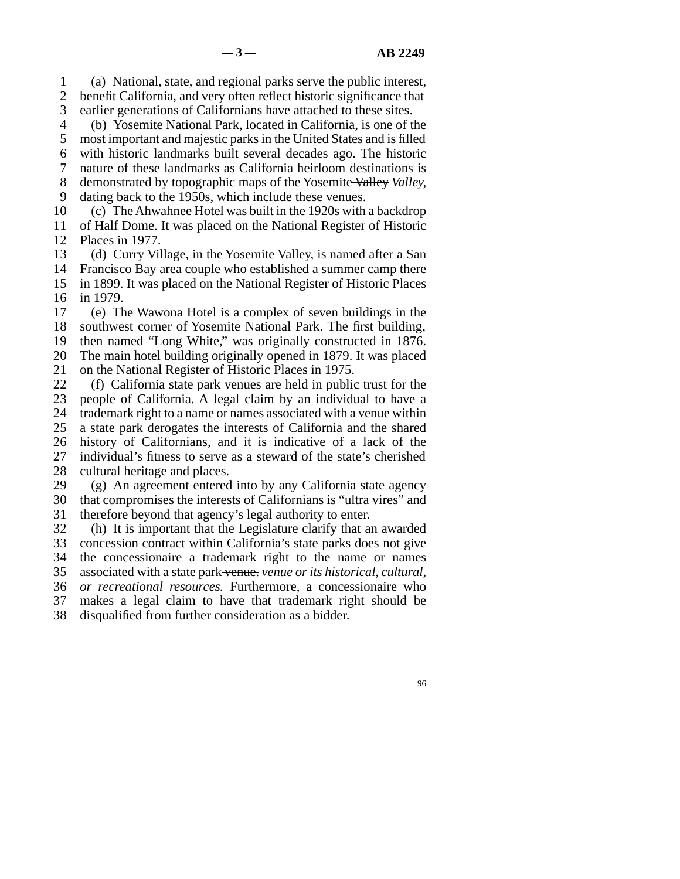line 1 (a) National, state, and regional parks serve the public interest, 2 benefit California, and very often reflect historic significance that 3 earlier generations of Californians have attached to these sites.

line 4 (b) Yosemite National Park, located in California, is one of the

5 most important and majestic parks in the United States and is filled line 6 with historic landmarks built several decades ago. The historic line 7 nature of these landmarks as California heirloom destinations is line 8 demonstrated by topographic maps of the Yosemite Valley *Valley,*

9 dating back to the 1950s, which include these venues.

10 (c) The Ahwahnee Hotel was built in the 1920s with a backdrop 11 of Half Dome. It was placed on the National Register of Historic 12 Places in 1977.

13 (d) Curry Village, in the Yosemite Valley, is named after a San 14 Francisco Bay area couple who established a summer camp there 15 in 1899. It was placed on the National Register of Historic Places 16 in 1979.

17 (e) The Wawona Hotel is a complex of seven buildings in the 18 southwest corner of Yosemite National Park. The first building, 19 then named "Long White," was originally constructed in 1876. 20 The main hotel building originally opened in 1879. It was placed 21 on the National Register of Historic Places in 1975.

22 (f) California state park venues are held in public trust for the 23 neople of California. A legal claim by an individual to have a people of California. A legal claim by an individual to have a 24 trademark right to a name or names associated with a venue within<br>25 a state park derogates the interests of California and the shared a state park derogates the interests of California and the shared 26 history of Californians, and it is indicative of a lack of the 27 individual's fitness to serve as a steward of the state's cherished 28 cultural heritage and places.

29  $(g)$  An agreement entered into by any California state agency 30 that compromises the interests of Californians is "ultra vires" and 31 therefore beyond that agency's legal authority to enter.

32 (h) It is important that the Legislature clarify that an awarded 33 concession contract within California's state parks does not give 34 the concessionaire a trademark right to the name or names line 35 associated with a state park venue. *venue or its historical, cultural,* line 36 *or recreational resources.* Furthermore, a concessionaire who 37 makes a legal claim to have that trademark right should be

38 disqualified from further consideration as a bidder.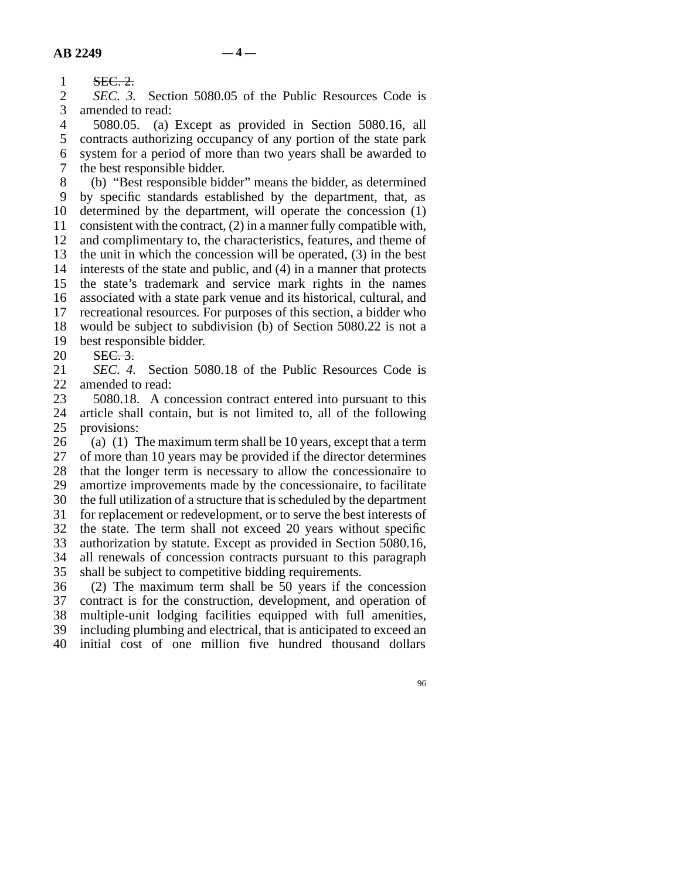1 SEC. 2.

2 *SEC. 3.* Section 5080.05 of the Public Resources Code is amended to read: amended to read:

4 5080.05. (a) Except as provided in Section 5080.16, all 5 contracts authorizing occupancy of any portion of the state park 6 system for a period of more than two years shall be awarded to 7 the best responsible bidder.

8 (b) "Best responsible bidder" means the bidder, as determined line 9 by specific standards established by the department, that, as 10 determined by the department, will operate the concession (1) 11 consistent with the contract,  $(2)$  in a manner fully compatible with, 12 and complimentary to, the characteristics, features, and theme of 13 the unit in which the concession will be operated,  $(3)$  in the best 14 interests of the state and public, and (4) in a manner that protects 15 the state's trademark and service mark rights in the names 16 associated with a state park venue and its historical, cultural, and 17 recreational resources. For purposes of this section, a bidder who 18 would be subject to subdivision (b) of Section 5080.22 is not a 19 best responsible bidder.

20 SEC. 3.

21 *SEC. 4.* Section 5080.18 of the Public Resources Code is 22 amended to read:

23 5080.18. A concession contract entered into pursuant to this 24 article shall contain, but is not limited to, all of the following 25 provisions: provisions:

26 (a) (1) The maximum term shall be 10 years, except that a term  $27$  of more than 10 years may be provided if the director determines of more than 10 years may be provided if the director determines 28 that the longer term is necessary to allow the concessionaire to 29 amortize improvements made by the concessionaire, to facilitate 30 the full utilization of a structure that is scheduled by the department 31 for replacement or redevelopment, or to serve the best interests of 32 the state. The term shall not exceed 20 years without specific 33 authorization by statute. Except as provided in Section 5080.16, 34 all renewals of concession contracts pursuant to this paragraph 35 shall be subject to competitive bidding requirements.

 line 36 (2) The maximum term shall be 50 years if the concession 37 contract is for the construction, development, and operation of 38 multiple-unit lodging facilities equipped with full amenities, 39 including plumbing and electrical, that is anticipated to exceed an 40 initial cost of one million five hundred thousand dollars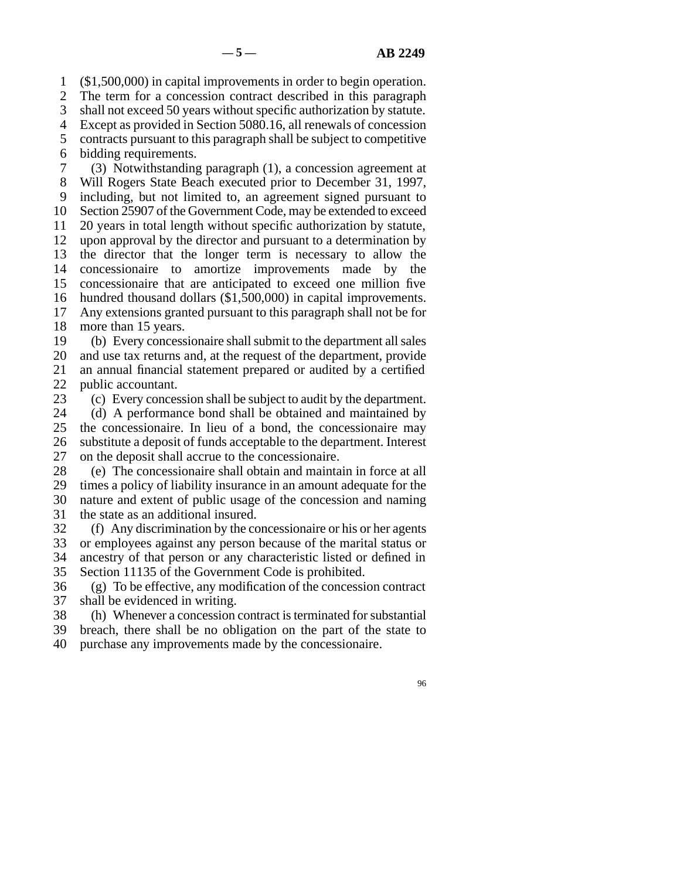1 (\$1,500,000) in capital improvements in order to begin operation.

2 The term for a concession contract described in this paragraph

3 shall not exceed 50 years without specific authorization by statute.

line 4 Except as provided in Section 5080.16, all renewals of concession

5 contracts pursuant to this paragraph shall be subject to competitive 6 bidding requirements.

 line 7 (3) Notwithstanding paragraph (1), a concession agreement at 8 Will Rogers State Beach executed prior to December 31, 1997, 9 including, but not limited to, an agreement signed pursuant to 10 Section 25907 of the Government Code, may be extended to exceed 11 20 years in total length without specific authorization by statute, 12 upon approval by the director and pursuant to a determination by 13 the director that the longer term is necessary to allow the 14 concessionaire to amortize improvements made by the 15 concessionaire that are anticipated to exceed one million five 16 hundred thousand dollars (\$1,500,000) in capital improvements. 17 Any extensions granted pursuant to this paragraph shall not be for

18 more than 15 years.

19 (b) Every concessionaire shall submit to the department all sales 20 and use tax returns and, at the request of the department, provide 21 an annual financial statement prepared or audited by a certified 22 public accountant.<br>23 (c) Every conces

(c) Every concession shall be subject to audit by the department.

24 (d) A performance bond shall be obtained and maintained by<br>25 the concessionaire. In lieu of a bond, the concessionaire may the concessionaire. In lieu of a bond, the concessionaire may 26 substitute a deposit of funds acceptable to the department. Interest 27 on the deposit shall accrue to the concessionaire.

28 (e) The concessionaire shall obtain and maintain in force at all 29 times a policy of liability insurance in an amount adequate for the 30 nature and extent of public usage of the concession and naming 31 the state as an additional insured.

32 (f) Any discrimination by the concessionaire or his or her agents 33 or employees against any person because of the marital status or 34 ancestry of that person or any characteristic listed or defined in 35 Section 11135 of the Government Code is prohibited.

 $\delta$  (g) To be effective, any modification of the concession contract 37 shall be evidenced in writing.

38 (h) Whenever a concession contract is terminated for substantial

39 breach, there shall be no obligation on the part of the state to

40 purchase any improvements made by the concessionaire.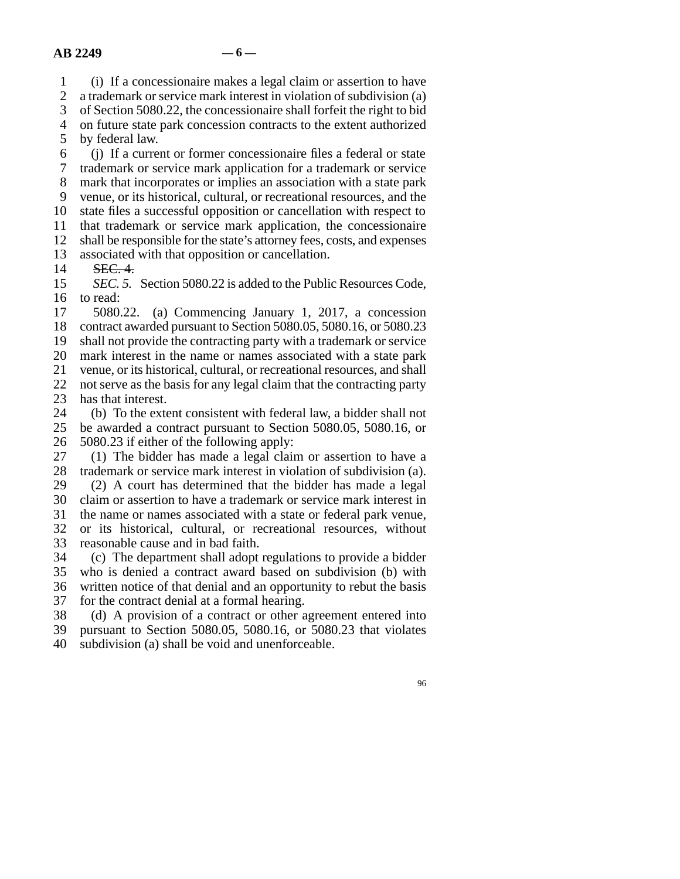line 1 (i) If a concessionaire makes a legal claim or assertion to have

2 a trademark or service mark interest in violation of subdivision (a)<br>3 of Section 5080.22, the concessionaire shall forfeit the right to bid

of Section 5080.22, the concessionaire shall forfeit the right to bid

4 on future state park concession contracts to the extent authorized

5 by federal law.

line 6 (j) If a current or former concessionaire files a federal or state

7 trademark or service mark application for a trademark or service

8 mark that incorporates or implies an association with a state park 9 venue, or its historical, cultural, or recreational resources, and the

10 state files a successful opposition or cancellation with respect to

11 that trademark or service mark application, the concessionaire

12 shall be responsible for the state's attorney fees, costs, and expenses

13 associated with that opposition or cancellation.

14 **SEC. 4.** 

15 *SEC. 5.* Section 5080.22 is added to the Public Resources Code,  $16$  to read:

 $17$  5080.22. (a) Commencing January 1, 2017, a concession 18 contract awarded pursuant to Section 5080.05, 5080.16, or 5080.23 19 shall not provide the contracting party with a trademark or service 20 mark interest in the name or names associated with a state park 21 venue, or its historical, cultural, or recreational resources, and shall 22 not serve as the basis for any legal claim that the contracting party has that interest.

has that interest.

24 (b) To the extent consistent with federal law, a bidder shall not 25 be awarded a contract pursuant to Section 5080.05, 5080.16, or be awarded a contract pursuant to Section 5080.05, 5080.16, or 26  $5080.23$  if either of the following apply:

 $27$  (1) The bidder has made a legal claim or assertion to have a 28 trademark or service mark interest in violation of subdivision (a). 29 (2) A court has determined that the bidder has made a legal 30 claim or assertion to have a trademark or service mark interest in 31 the name or names associated with a state or federal park venue, 32 or its historical, cultural, or recreational resources, without 33 reasonable cause and in bad faith.

 line 34 (c) The department shall adopt regulations to provide a bidder 35 who is denied a contract award based on subdivision (b) with 36 written notice of that denial and an opportunity to rebut the basis 37 for the contract denial at a formal hearing.

38 (d) A provision of a contract or other agreement entered into

39 pursuant to Section 5080.05, 5080.16, or 5080.23 that violates

40 subdivision (a) shall be void and unenforceable.